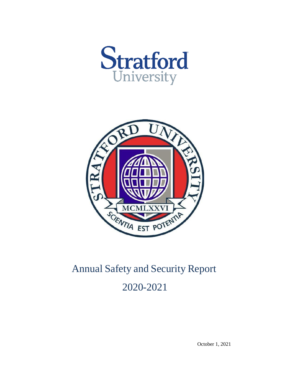



# Annual Safety and Security Report 2020-2021

October 1, 2021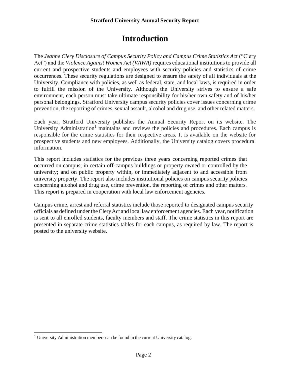# **Introduction**

The *Jeanne Clery Disclosure of Campus Security Policy and Campus Crime Statistics Ac*t ("Clery Act") and the *Violence Against Women Act (VAWA)* requires educational institutions to provide all current and prospective students and employees with security policies and statistics of crime occurrences. These security regulations are designed to ensure the safety of all individuals at the University. Compliance with policies, as well as federal, state, and local laws, is required in order to fulfill the mission of the University. Although the University strives to ensure a safe environment, each person must take ultimate responsibility for his/her own safety and of his/her personal belongings. Stratford University campus security policies cover issues concerning crime prevention, the reporting of crimes, sexual assault, alcohol and drug use, and other related matters.

Each year, Stratford University publishes the Annual Security Report on its website. The U[n](#page-1-0)iversity Administration<sup>1</sup> maintains and reviews the policies and procedures. Each campus is responsible for the crime statistics for their respective areas. It is available on the website for prospective students and new employees. Additionally, the University catalog covers procedural information.

This report includes statistics for the previous three years concerning reported crimes that occurred on campus; in certain off-campus buildings or property owned or controlled by the university; and on public property within, or immediately adjacent to and accessible from university property. The report also includes institutional policies on campus security policies concerning alcohol and drug use, crime prevention, the reporting of crimes and other matters. This report is prepared in cooperation with local law enforcement agencies.

Campus crime, arrest and referral statistics include those reported to designated campus security officials as defined under theCleryAct and local law enforcement agencies. Each year, notification is sent to all enrolled students, faculty members and staff. The crime statistics in this report are presented in separate crime statistics tables for each campus, as required by law. The report is posted to the university website.

<span id="page-1-0"></span><sup>&</sup>lt;sup>1</sup> University Administration members can be found in the current University catalog.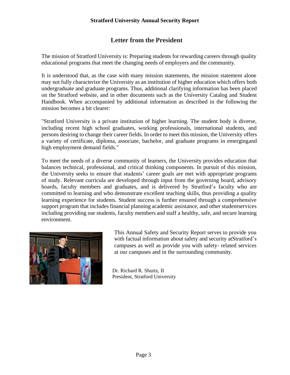# **Letter from the President**

The mission of Stratford University is: Preparing students for rewarding careers through quality educational programs that meet the changing needs of employers and the community.

It is understood that, as the case with many mission statements, the mission statement alone may not fully characterize the University as an institution of higher education which offers both undergraduate and graduate programs. Thus, additional clarifying information has been placed on the Stratford website, and in other documents such as the University Catalog and Student Handbook. When accompanied by additional information as described in the following the mission becomes a bit clearer:

"Stratford University is a private institution of higher learning. The student body is diverse, including recent high school graduates, working professionals, international students, and persons desiring to change their career fields. In order to meet this mission, the University offers a variety of certificate, diploma, associate, bachelor, and graduate programs in emergingand high employment demand fields."

To meet the needs of a diverse community of learners, the University provides education that balances technical, professional, and critical thinking components. In pursuit of this mission, the University seeks to ensure that students' career goals are met with appropriate programs of study. Relevant curricula are developed through input from the governing board, advisory boards, faculty members and graduates, and is delivered by Stratford's faculty who are committed to learning and who demonstrate excellent teaching skills, thus providing a quality learning experience for students. Student success is further ensured through a comprehensive support program that includes financial planning academic assistance, and other studentservices including providing our students, faculty members and staff a healthy, safe, and secure learning environment.



This Annual Safety and Security Report serves to provide you with factual information about safety and security atStratford's campuses as well as provide you with safety- related services at our campuses and in the surrounding community.

Dr. Richard R. Shurtz, II President, Stratford University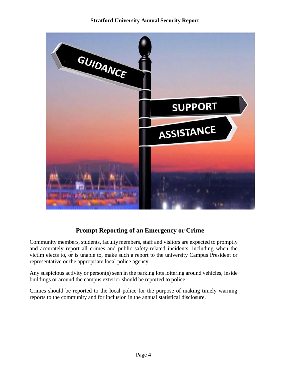

# **Prompt Reporting of an Emergency or Crime**

Community members, students, faculty members, staff and visitors are expected to promptly and accurately report all crimes and public safety-related incidents, including when the victim elects to, or is unable to, make such a report to the university Campus President or representative or the appropriate local police agency.

Any suspicious activity or person(s) seen in the parking lots loitering around vehicles, inside buildings or around the campus exterior should be reported to police.

Crimes should be reported to the local police for the purpose of making timely warning reports to the community and for inclusion in the annual statistical disclosure.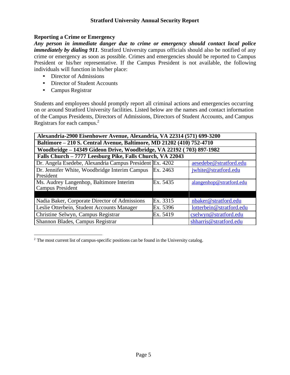#### **Reporting a Crime or Emergency**

*Any person in immediate danger due to crime or emergency should contact local police immediately by dialing 911*. Stratford University campus officials should also be notified of any crime or emergency as soon as possible. Crimes and emergencies should be reported to Campus President or his/her representative. If the Campus President is not available, the following individuals will function in his/her place:

- Director of Admissions
- Director of Student Accounts
- Campus Registrar

Students and employees should promptly report all criminal actions and emergencies occurring on or around Stratford University facilities. Listed below are the names and contact information of the Campus Presidents, Directors of Admissions, Directors of Student Accounts, and Campus Registrars for each campus.<sup>[2](#page-4-0)</sup>

| Alexandria-2900 Eisenhower Avenue, Alexandria, VA 22314 (571) 699-3200 |           |                          |  |  |  |  |  |  |  |  |  |
|------------------------------------------------------------------------|-----------|--------------------------|--|--|--|--|--|--|--|--|--|
| Baltimore - 210 S. Central Avenue, Baltimore, MD 21202 (410) 752-4710  |           |                          |  |  |  |  |  |  |  |  |  |
| Woodbridge - 14349 Gideon Drive, Woodbridge, VA 22192 (703) 897-1982   |           |                          |  |  |  |  |  |  |  |  |  |
| Falls Church - 7777 Leesburg Pike, Falls Church, VA 22043              |           |                          |  |  |  |  |  |  |  |  |  |
| Dr. Angela Esedebe, Alexandria Campus President Ex. 4202               |           | aesedebe@stratford.edu   |  |  |  |  |  |  |  |  |  |
| Dr. Jennifer White, Woodbridge Interim Campus                          | Ex. 2463  | jwhite@stratford.edu     |  |  |  |  |  |  |  |  |  |
|                                                                        | President |                          |  |  |  |  |  |  |  |  |  |
| Ms. Audrey Langenhop, Baltimore Interim                                | Ex. 5435  | alangenhop@stratford.edu |  |  |  |  |  |  |  |  |  |
| <b>Campus President</b>                                                |           |                          |  |  |  |  |  |  |  |  |  |
|                                                                        |           |                          |  |  |  |  |  |  |  |  |  |
| Nadia Baker, Corporate Director of Admissions                          | Ex. 3315  | nbaker@stratford.edu     |  |  |  |  |  |  |  |  |  |
| Leslie Otterbein, Student Accounts Manager                             | Ex. 5396  | lotterbein@stratford.edu |  |  |  |  |  |  |  |  |  |
| Christine Selwyn, Campus Registrar                                     | Ex. 5419  | cselwyn@stratford.edu    |  |  |  |  |  |  |  |  |  |
| Shannon Blades, Campus Registrar                                       |           | shharris@stratford.edu   |  |  |  |  |  |  |  |  |  |

<span id="page-4-0"></span> $2$  The most current list of campus-specific positions can be found in the University catalog.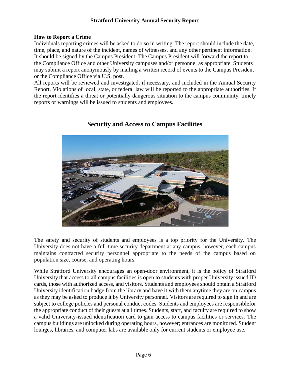## **How to Report a Crime**

Individuals reporting crimes will be asked to do so in writing. The report should include the date, time, place, and nature of the incident, names of witnesses, and any other pertinent information. It should be signed by the Campus President. The Campus President will forward the report to the Compliance Office and other University campuses and/or personnel as appropriate. Students may submit a report anonymously by mailing a written record of events to the Campus President or the Compliance Office via U.S. post.

All reports will be reviewed and investigated, if necessary, and included in the Annual Security Report. Violations of local, state, or federal law will be reported to the appropriate authorities. If the report identifies a threat or potentially dangerous situation to the campus community, timely reports or warnings will be issued to students and employees.



# **Security and Access to Campus Facilities**

The safety and security of students and employees is a top priority for the University. The University does not have a full-time security department at any campus, however, each campus maintains contracted security personnel appropriate to the needs of the campus based on population size, course, and operating hours.

While Stratford University encourages an open-door environment, it is the policy of Stratford University that access to all campus facilities is open to students with proper University issued ID cards, those with authorized access, and visitors. Students and employees should obtain a Stratford University identification badge from the library and have it with them anytime they are on campus as they may be asked to produce it by University personnel. Visitors are required to sign in and are subject to college policies and personal conduct codes. Students and employees are responsiblefor the appropriate conduct of their guests at all times. Students, staff, and faculty are required to show a valid University-issued identification card to gain access to campus facilities or services. The campus buildings are unlocked during operating hours, however; entrances are monitored. Student lounges, libraries, and computer labs are available only for current students or employee use.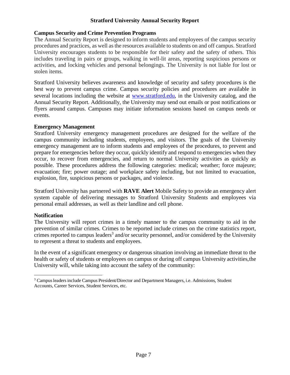## **Campus Security and Crime Prevention Programs**

The Annual Security Report is designed to inform students and employees of the campus security procedures and practices, as well asthe resources available to students on and off campus. Stratford University encourages students to be responsible for their safety and the safety of others. This includes traveling in pairs or groups, walking in well-lit areas, reporting suspicious persons or activities, and locking vehicles and personal belongings. The University is not liable for lost or stolen items.

Stratford University believes awareness and knowledge of security and safety procedures is the best way to prevent campus crime. Campus security policies and procedures are available in several locations including the website at [www.stratford.edu, i](http://www.stratford.edu/)n the University catalog, and the Annual Security Report. Additionally, the University may send out emails or post notifications or flyers around campus. Campuses may initiate information sessions based on campus needs or events.

#### **Emergency Management**

Stratford University emergency management procedures are designed for the welfare of the campus community including students, employees, and visitors. The goals of the University emergency management are to inform students and employees of the procedures, to prevent and prepare for emergencies before they occur, quickly identify and respond to emergencies when they occur, to recover from emergencies, and return to normal University activities as quickly as possible. These procedures address the following categories: medical; weather; force majeure; evacuation; fire; power outage; and workplace safety including, but not limited to evacuation, explosion, fire, suspicious persons or packages, and violence.

Stratford University has partnered with **RAVE Alert** Mobile Safety to provide an emergency alert system capable of delivering messages to Stratford University Students and employees via personal email addresses, as well as their landline and cell phone.

## **Notification**

The University will report crimes in a timely manner to the campus community to aid in the prevention of similar crimes. Crimes to be reported include crimes on the crime statistics report, crimes reported to campus leaders<sup>[3](#page-6-0)</sup> and/or security personnel, and/or considered by the University to represent a threat to students and employees.

In the event of a significant emergency or dangerous situation involving an immediate threat to the health or safety of students or employees on campus or during off campus University activities,the University will, while taking into account the safety of the community:

<span id="page-6-0"></span><sup>&</sup>lt;sup>3</sup> Campus leaders include Campus President/Director and Department Managers, i.e. Admissions, Student Accounts, Career Services, Student Services, etc.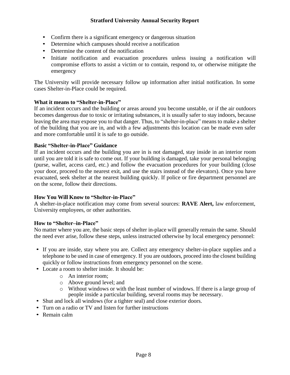- Confirm there is a significant emergency or dangerous situation
- Determine which campuses should receive a notification
- Determine the content of the notification
- Initiate notification and evacuation procedures unless issuing a notification will compromise efforts to assist a victim or to contain, respond to, or otherwise mitigate the emergency

The University will provide necessary follow up information after initial notification. In some cases Shelter-in-Place could be required.

#### **What it means to "Shelter-in-Place"**

If an incident occurs and the building or areas around you become unstable, or if the air outdoors becomes dangerous due to toxic or irritating substances, it is usually safer to stay indoors, because leaving the area may expose you to that danger. Thus, to "shelter-in-place" means to make a shelter of the building that you are in, and with a few adjustments this location can be made even safer and more comfortable until it is safe to go outside.

#### **Basic "Shelter-in-Place" Guidance**

If an incident occurs and the building you are in is not damaged, stay inside in an interior room until you are told it is safe to come out. If your building is damaged, take your personal belonging (purse, wallet, access card, etc.) and follow the evacuation procedures for your building (close your door, proceed to the nearest exit, and use the stairs instead of the elevators). Once you have evacuated, seek shelter at the nearest building quickly. If police or fire department personnel are on the scene, follow their directions.

#### **How You Will Know to "Shelter-in-Place"**

A shelter-in-place notification may come from several sources: **RAVE Alert,** law enforcement, University employees, or other authorities.

#### **How to "Shelter–in-Place"**

No matter where you are, the basic steps of shelter in-place will generally remain the same. Should the need ever arise, follow these steps, unless instructed otherwise by local emergency personnel:

- If you are inside, stay where you are. Collect any emergency shelter-in-place supplies and a telephone to be used in case of emergency. If you are outdoors, proceed into the closest building quickly or follow instructions from emergency personnel on the scene.
- Locate a room to shelter inside. It should be:
	- o An interior room;
	- o Above ground level; and
	- $\circ$  Without windows or with the least number of windows. If there is a large group of people inside a particular building, several rooms may be necessary.
- Shut and lock all windows (for a tighter seal) and close exterior doors.
- Turn on a radio or TV and listen for further instructions
- Remain calm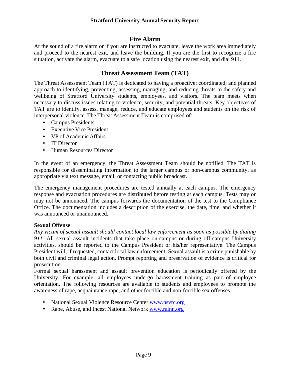# **Fire Alarm**

At the sound of a fire alarm or if you are instructed to evacuate, leave the work area immediately and proceed to the nearest exit, and leave the building. If you are the first to recognize a fire situation, activate the alarm, evacuate to a safe location using the nearest exit, and dial 911.

# **Threat Assessment Team (TAT)**

The Threat Assessment Team (TAT) is dedicated to having a proactive; coordinated; and planned approach to identifying, preventing, assessing, managing, and reducing threats to the safety and wellbeing of Stratford University students, employees, and visitors. The team meets when necessary to discuss issues relating to violence, security, and potential threats. Key objectives of TAT are to identify, assess, manage, reduce, and educate employees and students on the risk of interpersonal violence. The Threat Assessment Team is comprised of:

- Campus Presidents
- Executive Vice President
- VP of Academic Affairs
- IT Director
- Human Resources Director

In the event of an emergency, the Threat Assessment Team should be notified. The TAT is responsible for disseminating information to the larger campus or non-campus community, as appropriate via text message, email, or contacting public broadcast.

The emergency management procedures are tested annually at each campus. The emergency response and evacuation procedures are distributed before testing at each campus. Tests may or may not be announced. The campus forwards the documentation of the test to the Compliance Office. The documentation includes a description of the exercise, the date, time, and whether it was announced or unannounced.

## **Sexual Offense**

*Any victim of sexual assault should contact local law enforcement as soon as possible by dialing 911.* All sexual assault incidents that take place on-campus or during off-campus University activities, should be reported to the Campus President or his/her representative. The Campus President will, if requested, contact local law enforcement. Sexual assault is a crime punishable by both civil and criminal legal action. Prompt reporting and preservation of evidence is critical for prosecution.

Formal sexual harassment and assault prevention education is periodically offered by the University. For example, all employees undergo harassment training as part of employee orientation. The following resources are available to students and employees to promote the awareness of rape, acquaintance rape, and other forcible and non-forcible sex offenses.

- National Sexual Violence Resource Center [www.nsvrc.org](http://www.nsvrc.org/)
- Rape, Abuse, and Incest National Network [www.rainn.org](http://www.rainn.org/)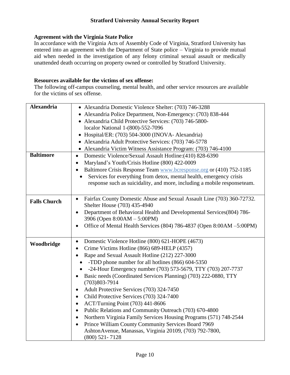## **Agreement with the Virginia State Police**

In accordance with the Virginia Acts of Assembly Code of Virginia, Stratford University has entered into an agreement with the Department of State police – Virginia to provide mutual aid when needed in the investigation of any felony criminal sexual assault or medically unattended death occurring on property owned or controlled by Stratford University.

## **Resources available for the victims of sex offense:**

The following off-campus counseling, mental health, and other service resources are available for the victims of sex offense.

| <b>Alexandria</b>   | • Alexandria Domestic Violence Shelter: (703) 746-3288                              |
|---------------------|-------------------------------------------------------------------------------------|
|                     | • Alexandria Police Department, Non-Emergency: (703) 838-444                        |
|                     | • Alexandria Child Protective Services: (703) 746-5800-                             |
|                     | localor National 1-(800)-552-7096                                                   |
|                     | Hospital/ER: (703) 504-3000 (INOVA- Alexandria)<br>$\bullet$                        |
|                     | Alexandria Adult Protective Services: (703) 746-5778                                |
|                     | • Alexandria Victim Witness Assistance Program: (703) 746-4100                      |
| <b>Baltimore</b>    | Domestic Violence/Sexual Assault Hotline: (410) 828-6390<br>$\bullet$               |
|                     | Maryland's Youth/Crisis Hotline (800) 422-0009<br>$\bullet$                         |
|                     | Baltimore Crisis Response Team www.bcresponse.org or (410) 752-1185                 |
|                     | Services for everything from detox, mental health, emergency crisis                 |
|                     | response such as suicidality, and more, including a mobile responseteam.            |
|                     |                                                                                     |
| <b>Falls Church</b> | Fairfax County Domestic Abuse and Sexual Assault Line (703) 360-72732.<br>$\bullet$ |
|                     | Shelter House (703) 435-4940                                                        |
|                     | Department of Behavioral Health and Developmental Services(804) 786-<br>$\bullet$   |
|                     | 3906 (Open 8:00AM - 5:00PM)                                                         |
|                     | Office of Mental Health Services (804) 786-4837 (Open 8:00AM -5:00PM)<br>$\bullet$  |
|                     |                                                                                     |
| Woodbridge          | Domestic Violence Hotline (800) 621-HOPE (4673)<br>$\bullet$                        |
|                     | Crime Victims Hotline (866) 689-HELP (4357)<br>$\bullet$                            |
|                     | Rape and Sexual Assault Hotline (212) 227-3000                                      |
|                     | -TDD phone number for all hotlines (866) 604-5350                                   |
|                     | -24-Hour Emergency number (703) 573-5679, TTY (703) 207-7737                        |
|                     | Basic needs (Coordinated Services Planning) (703) 222-0880, TTY                     |
|                     | $(703)803 - 7914$                                                                   |
|                     | Adult Protective Services (703) 324-7450<br>$\bullet$                               |
|                     | Child Protective Services (703) 324-7400<br>٠                                       |
|                     | ACT/Turning Point (703) 441-8606<br>٠                                               |
|                     | Public Relations and Community Outreach (703) 670-4800<br>$\bullet$                 |
|                     | Northern Virginia Family Services Housing Programs (571) 748-2544<br>$\bullet$      |
|                     | Prince William County Community Services Board 7969<br>$\bullet$                    |
|                     | AshtonAvenue, Manassas, Virginia 20109, (703) 792-7800,                             |
|                     | $(800)$ 521-7128                                                                    |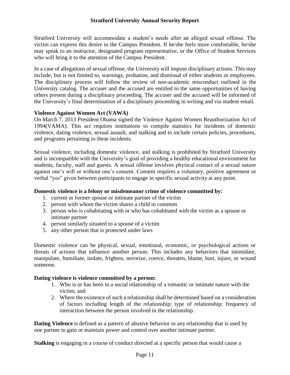Stratford University will accommodate a student's needs after an alleged sexual offense. The victim can express this desire to the Campus President. If he/she feels more comfortable, he/she may speak to an instructor, designated program representative, or the Office of Student Services who will bring it to the attention of the Campus President.

In a case of allegations of sexual offense, the University will impose disciplinary actions. This may include, but is not limited to, warnings, probation, and dismissal of either students or employees. The disciplinary process will follow the review of non-academic misconduct outlined in the University catalog. The accuser and the accused are entitled to the same opportunities of having others present during a disciplinary proceeding. The accuser and the accused will be informed of the University's final determination of a disciplinary proceeding in writing and via student email.

#### **Violence Against Women Act (VAWA)**

On March 7, 2013 President Obama signed the Violence Against Women Reauthorization Act of 1994(VAMA). This act requires institutions to compile statistics for incidents of domestic violence, dating violence, sexual assault, and stalking and to include certain policies, procedures, and programs pertaining to these incidents.

Sexual violence, including domestic violence, and stalking is prohibited by Stratford University and is incompatible with the University's goal of providing a healthy educational environment for students, faculty, staff and guests. A sexual offense involves physical contact of a sexual nature against one's will or without one's consent. Consent requires a voluntary, positive agreement or verbal "yes" given between participants to engage in specific sexual activity at any point.

## **Domestic violence is a felony or misdemeanor crime of violence committed by:**

- 1. current or former spouse or intimate partner of the victim
- 2. person with whom the victim shares a child in common
- 3. person who is cohabitating with or who has cohabitated with the victim as a spouse or intimate partner
- 4. person similarly situated to a spouse of a victim
- 5. any other person that is protected under laws

Domestic violence can be physical, sexual, emotional, economic, or psychological actions or threats of actions that influence another person. This includes any behaviors that intimidate, manipulate, humiliate, isolate, frighten, terrorize, coerce, threaten, blame, hurt, injure, or wound someone.

## **Dating violence is violence committed by a person:**

- 1. Who is or has been in a social relationship of a romantic or intimate nature with the victim; and
- 2. Where the existence of such a relationship shall be determined based on a consideration of factors including length of the relationship; type of relationship; frequency of interaction between the person involved in the relationship.

**Dating Violence** is defined as a pattern of abusive behavior in any relationship that is used by one partner to gain or maintain power and control over another intimate partner.

**Stalking** is engaging in a course of conduct directed at a specific person that would cause a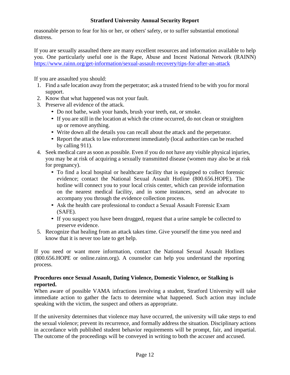reasonable person to fear for his or her, or others' safety, or to suffer substantial emotional distress.

If you are sexually assaulted there are many excellent resources and information available to help you. One particularly useful one is the Rape, Abuse and Incest National Network (RAINN) <https://www.rainn.org/get-information/sexual-assault-recovery/tips-for-after-an-attack>

If you are assaulted you should:

- 1. Find a safe location away from the perpetrator; ask a trusted friend to be with you for moral support.
- 2. Know that what happened was not your fault.
- 3. Preserve all [evidence](https://www.rainn.org/get-information/aftermath-of-sexual-assault/preserving-and-collecting-forensic-evidence) of the attack.
	- Do not bathe, wash your hands, brush your teeth, eat, or smoke.
	- If you are still in the location at which the crime occurred, do not clean or straighten up or remove anything.
	- Write down all the details you can recall about the attack and the perpetrator.
	- Report the attack to law enforcement immediately (local authorities can be reached by calling 911).
- 4. Seek medical care as soon as [possible.](https://www.rainn.org/get-information/aftermath-of-sexual-assault/receiving-medical-attention) Even if you do not have any visible physical injuries, you may be at risk of acquiring a sexually transmitted disease (women may also be at risk for pregnancy).
	- To find a local hospital or healthcare facility that is equipped to collect forensic evidence; contact the National Sexual Assault Hotline (800.656.HOPE). The hotline will connect you to your local crisis center, which can provide information on the nearest medical facility, and in some instances, send an advocate to accompany you through the evidence collection process.
	- Ask the health care professional to conduct a Sexual Assault [Forensic](https://www.rainn.org/get-information/aftermath-of-sexual-assault/preserving-and-collecting-forensic-evidence) Exam [\(SAFE\).](https://www.rainn.org/get-information/aftermath-of-sexual-assault/preserving-and-collecting-forensic-evidence)
	- If you suspect you have been drugged, request that a urine sample be collected to preserve evidence.
- 5. Recognize that healing from an attack takes time. Give yourself the time you need and know that it is never too late to get help.

If you need or want more information, contact the National Sexual Assault Hotlines (800.656.HOPE or [online.rainn.org\)](https://ohl.rainn.org/online/). A counselor can help you understand the reporting process.

#### **Procedures once Sexual Assault, Dating Violence, Domestic Violence, or Stalking is reported.**

When aware of possible VAMA infractions involving a student, Stratford University will take immediate action to gather the facts to determine what happened. Such action may include speaking with the victim, the suspect and others as appropriate.

If the university determines that violence may have occurred, the university will take steps to end the sexual violence; prevent its recurrence, and formally address the situation. Disciplinary actions in accordance with published student behavior requirements will be prompt, fair, and impartial. The outcome of the proceedings will be conveyed in writing to both the accuser and accused.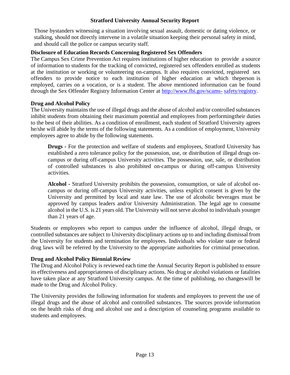Those bystanders witnessing a situation involving sexual assault, domestic or dating violence, or stalking, should not directly intervene in a volatile situation keeping their personal safety in mind, and should call the police or campus security staff.

## **Disclosure of Education Records Concerning Registered Sex Offenders**

The Campus Sex Crime Prevention Act requires institutions of higher education to provide a source of information to students for the tracking of convicted, registered sex offenders enrolled as students at the institution or working or volunteering on-campus. It also requires convicted, registered sex offenders to provide notice to each institution of higher education at which theperson is employed, carries on a vocation, or is a student. The above mentioned information can be found through the Sex Offender Registry Information Center at [http://www.fbi.gov/scams-](http://www.fbi.gov/scams-safety/registry) [safety/registry.](http://www.fbi.gov/scams-safety/registry)

#### **Drug and Alcohol Policy**

The University maintains the use of illegal drugs and the abuse of alcohol and/or controlled substances inhibit students from obtaining their maximum potential and employees from performingtheir duties to the best of their abilities. As a condition of enrollment, each student of Stratford University agrees he/she will abide by the terms of the following statements. As a condition of employment, University employees agree to abide by the following statements.

**Drugs -** For the protection and welfare of students and employees, Stratford University has established a zero tolerance policy for the possession, use, or distribution of illegal drugs oncampus or during off-campus University activities. The possession, use, sale, or distribution of controlled substances is also prohibited on-campus or during off-campus University activities.

**Alcohol -** Stratford University prohibits the possession, consumption, or sale of alcohol oncampus or during off-campus University activities, unless explicit consent is given by the University and permitted by local and state law. The use of alcoholic beverages must be approved by campus leaders and/or University Administration. The legal age to consume alcohol in the U.S. is 21 years old. The University will not serve alcohol to individuals younger than 21 years of age.

Students or employees who report to campus under the influence of alcohol, illegal drugs, or controlled substances are subject to University disciplinary actions up to and including dismissal from the University for students and termination for employees. Individuals who violate state or federal drug laws will be referred by the University to the appropriate authorities for criminal prosecution.

## **Drug and Alcohol Policy Biennial Review**

The Drug and Alcohol Policy is reviewed each time the Annual Security Report is published to ensure its effectiveness and appropriateness of disciplinary actions. No drug or alcohol violations or fatalities have taken place at any Stratford University campus. At the time of publishing, no changeswill be made to the Drug and Alcohol Policy.

The University provides the following information for students and employees to prevent the use of illegal drugs and the abuse of alcohol and controlled substances. The sources provide information on the health risks of drug and alcohol use and a description of counseling programs available to students and employees.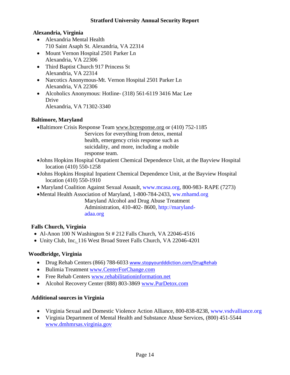# **Alexandria, Virginia**

- Alexandria Mental Health 710 Saint Asaph St. Alexandria, VA 22314
- Mount Vernon Hospital 2501 Parker Ln Alexandria, VA 22306
- Third Baptist Church 917 Princess St Alexandria, VA 22314
- Narcotics Anonymous-Mt. Vernon Hospital 2501 Parker Ln Alexandria, VA 22306
- Alcoholics Anonymous: Hotline- (318) 561-6119 3416 Mac Lee Drive Alexandria, VA 71302-3340

# **Baltimore, Maryland**

- •Baltimore Crisis Response Team [www.bcresponse.org](http://www.bcresponse.org/) or (410) 752-1185
	- Services for everything from detox, mental health, emergency crisis response such as suicidality, and more, including a mobile
	- response team.
- •Johns Hopkins Hospital Outpatient Chemical Dependence Unit, at the Bayview Hospital location (410) 550-1258
- •Johns Hopkins Hospital Inpatient Chemical Dependence Unit, at the Bayview Hospital location (410) 550-1910
- Maryland Coalition Against Sexual Assault, [www.mcasa.org,](http://www.mcasa.org/) 800-983- RAPE (7273)
- •Mental Health Association of Maryland, 1-800-784-2433, ww.mhamd.org

Maryland Alcohol and Drug Abuse Treatment Administration, 410-402- 8600, [http://maryland](http://maryland-adaa.org/)[adaa.org](http://maryland-adaa.org/)

# **Falls Church, Virginia**

- [Al-Anon](http://www.recovery.org/providers/al-anon-2138654532/) 100 N Washington St # 212 Falls Church, VA 22046-4516
- [Unity](http://www.recovery.org/providers/unity-club-inc-1500928991/) Club, Inc. 116 West Broad Street Falls Church, VA 22046-4201

# **Woodbridge, Virginia**

- Drug Rehab Centers (866) 788-6033 [www.stopyourdddiction.com/DrugRehab](http://www.stopyourdddiction.com/DrugRehab)
- Bulimia Treatment [www.CenterForChange.com](http://www.centerforchange.com/)
- Free Rehab Centers [www.rehabilitationinformation.net](http://www.rehabilitationinformation.net/)
- Alcohol Recovery Center (888) 803-3869 [www.PurDetox.com](http://www.purdetox.com/)

# **Additional sources in Virginia**

- Virginia Sexual and Domestic Violence Action Alliance, 800-838-8238, www.ysdvalliance.org
- Virginia Department of Mental Health and Substance Abuse Services, (800) 451-5544 [www.dmhmrsas.virginia.gov](http://www.dmhmrsas.virginia.gov/)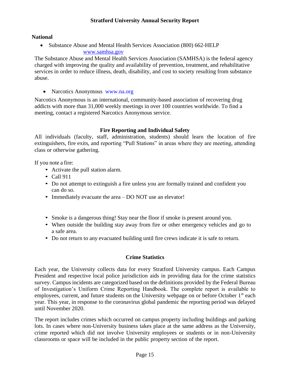# **National**

• Substance Abuse and Mental Health Services Association (800) 662-HELP [www.samhsa.gov](http://www.samhsa.gov/)

The Substance Abuse and Mental Health Services Association (SAMHSA) is the federal agency charged with improving the quality and availability of prevention, treatment, and rehabilitative services in order to reduce illness, death, disability, and cost to society resulting from substance abuse.

• Narcotics Anonymous [www.na.org](http://www.na.org/)

Narcotics Anonymous is an international, community-based association of recovering drug addicts with more than 31,000 weekly meetings in over 100 countries worldwide. To find a meeting, contact a registered Narcotics Anonymous service.

# **Fire Reporting and Individual Safety**

All individuals (faculty, staff, administration, students) should learn the location of fire extinguishers, fire exits, and reporting "Pull Stations" in areas where they are meeting, attending class or otherwise gathering.

If you note a fire:

- Activate the pull station alarm.
- Call 911
- Do not attempt to extinguish a fire unless you are formally trained and confident you can do so.
- Immediately evacuate the area DO NOT use an elevator!
- Smoke is a dangerous thing! Stay near the floor if smoke is present around you.
- When outside the building stay away from fire or other emergency vehicles and go to a safe area.
- Do not return to any evacuated building until fire crews indicate it is safe to return.

## **Crime Statistics**

Each year, the University collects data for every Stratford University campus. Each Campus President and respective local police jurisdiction aids in providing data for the crime statistics survey. Campus incidents are categorized based on the definitions provided by the Federal Bureau of Investigation's Uniform Crime Reporting Handbook. The complete report is available to employees, current, and future students on the University webpage on or before October  $1<sup>st</sup>$  each year. This year, in response to the coronavirus global pandemic the reporting period was delayed until November 2020.

The report includes crimes which occurred on campus property including buildings and parking lots. In cases where non-University business takes place at the same address as the University, crime reported which did not involve University employees or students or in non-University classrooms or space will be included in the public property section of the report.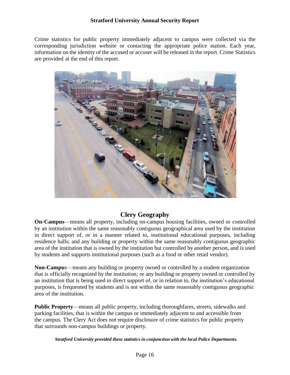Crime statistics for public property immediately adjacent to campus were collected via the corresponding jurisdiction website or contacting the appropriate police station. Each year, information on the identity of the accused or accuser will be released in the report. Crime Statistics are provided at the end of this report.



# **Clery Geography**

**On-Campus**—means all property, including on-campus housing facilities, owned or controlled by an institution within the same reasonably contiguous geographical area used by the institution in direct support of, or in a manner related to, institutional educational purposes, including residence halls; and any building or property within the same reasonably contiguous geographic area of the institution that is owned by the institution but controlled by another person, and is used by students and supports institutional purposes (such as a food or other retail vendor).

**Non-Campu**s—means any building or property owned or controlled by a student organization that is officially recognized by the institution; or any building or property owned or controlled by an institution that is being used in direct support of, or in relation to, the institution's educational purposes, is frequented by students and is not within the same reasonably contiguous geographic area of the institution.

**Public Property**—means all public property, including thoroughfares, streets, sidewalks and parking facilities, that is within the campus or immediately adjacent to and accessible from the campus. The Clery Act does not require disclosure of crime statistics for public property that surrounds non-campus buildings or property.

*Stratford University provided these statistics in conjunction with the local Police Departments.*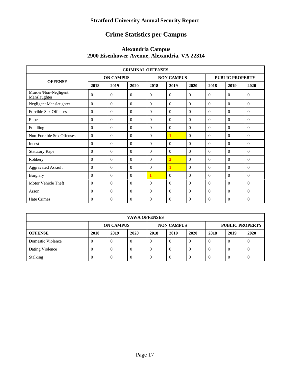# **Crime Statistics per Campus**

#### **Alexandria Campus 2900 Eisenhower Avenue, Alexandria, VA 22314**

| <b>CRIMINAL OFFENSES</b>             |                |                  |          |                   |                |          |                        |                |                |  |  |
|--------------------------------------|----------------|------------------|----------|-------------------|----------------|----------|------------------------|----------------|----------------|--|--|
|                                      |                | <b>ON CAMPUS</b> |          | <b>NON CAMPUS</b> |                |          | <b>PUBLIC PROPERTY</b> |                |                |  |  |
| <b>OFFENSE</b>                       | 2018           | 2019             | 2020     | 2018              | 2019           | 2020     | 2018                   | 2019           | 2020           |  |  |
| Murder/Non-Negligent<br>Manslaughter | $\Omega$       | $\Omega$         | $\Omega$ | $\Omega$          | $\theta$       | $\Omega$ | $\Omega$               | $\Omega$       | $\overline{0}$ |  |  |
| Negligent Manslaughter               | $\Omega$       | $\Omega$         | $\Omega$ | $\Omega$          | $\Omega$       | $\Omega$ | $\Omega$               | $\Omega$       | $\Omega$       |  |  |
| <b>Forcible Sex Offenses</b>         | $\Omega$       | $\Omega$         | $\Omega$ | $\Omega$          | $\Omega$       | $\Omega$ | $\Omega$               | $\Omega$       | $\Omega$       |  |  |
| Rape                                 | $\overline{0}$ | $\Omega$         | $\Omega$ | $\Omega$          | $\Omega$       | $\Omega$ | $\Omega$               | $\Omega$       | $\Omega$       |  |  |
| Fondling                             | $\theta$       | $\Omega$         | $\Omega$ | $\mathbf{0}$      | $\mathbf{0}$   | $\theta$ | $\mathbf{0}$           | $\overline{0}$ | $\overline{0}$ |  |  |
| Non-Forcible Sex Offenses            | $\Omega$       | $\Omega$         | $\Omega$ | $\Omega$          | $\mathbf{1}$   | $\Omega$ | $\Omega$               | $\Omega$       | $\Omega$       |  |  |
| Incest                               | $\Omega$       | $\Omega$         | $\Omega$ | $\Omega$          | $\Omega$       | $\Omega$ | $\Omega$               | $\Omega$       | $\Omega$       |  |  |
| <b>Statutory Rape</b>                | $\Omega$       | $\Omega$         | $\Omega$ | $\Omega$          | $\Omega$       | $\Omega$ | $\Omega$               | $\Omega$       | $\Omega$       |  |  |
| Robbery                              | $\theta$       | $\Omega$         | $\Omega$ | $\Omega$          | $\overline{2}$ | $\Omega$ | $\Omega$               | $\Omega$       | $\Omega$       |  |  |
| <b>Aggravated Assault</b>            | $\Omega$       | $\Omega$         | $\Omega$ | $\Omega$          | $\mathbf{1}$   | $\Omega$ | $\Omega$               | $\Omega$       | $\Omega$       |  |  |
| <b>Burglary</b>                      | $\Omega$       | $\Omega$         | $\Omega$ | 1                 | $\Omega$       | $\Omega$ | $\Omega$               | $\Omega$       | $\Omega$       |  |  |
| Motor Vehicle Theft                  | $\Omega$       | $\Omega$         | $\Omega$ | $\Omega$          | $\Omega$       | $\Omega$ | $\Omega$               | $\Omega$       | $\Omega$       |  |  |
| Arson                                | $\theta$       | $\Omega$         | $\Omega$ | $\Omega$          | $\Omega$       | $\Omega$ | $\Omega$               | $\Omega$       | $\Omega$       |  |  |
| <b>Hate Crimes</b>                   | $\Omega$       | $\Omega$         | $\Omega$ | $\Omega$          | $\Omega$       | $\Omega$ | $\Omega$               | $\Omega$       | $\theta$       |  |  |

| <b>VAWA OFFENSES</b> |                                                                 |      |      |      |      |      |            |      |      |
|----------------------|-----------------------------------------------------------------|------|------|------|------|------|------------|------|------|
|                      | <b>NON CAMPUS</b><br><b>PUBLIC PROPERTY</b><br><b>ON CAMPUS</b> |      |      |      |      |      |            |      |      |
| <b>OFFENSE</b>       | 2018                                                            | 2019 | 2020 | 2018 | 2019 | 2020 | 2018       | 2019 | 2020 |
| Domestic Violence    |                                                                 | v    |      | v    |      | v    |            |      |      |
| Dating Violence      |                                                                 | v    |      | v    | v    | v    | O          | v    |      |
| Stalking             | $\mathbf{U}$                                                    | 0    |      |      |      | v    | $\left($ ) | O    | O    |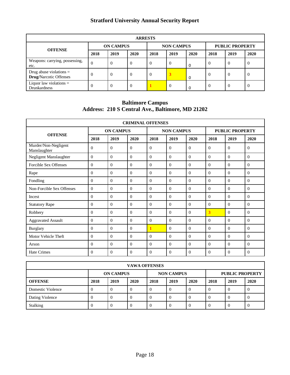| <b>ARRESTS</b>                                             |                |                  |          |          |                   |      |          |                        |      |  |
|------------------------------------------------------------|----------------|------------------|----------|----------|-------------------|------|----------|------------------------|------|--|
| <b>OFFENSE</b>                                             |                | <b>ON CAMPUS</b> |          |          | <b>NON CAMPUS</b> |      |          | <b>PUBLIC PROPERTY</b> |      |  |
|                                                            | 2018           | 2019             | 2020     | 2018     | 2019              | 2020 | 2018     | 2019                   | 2020 |  |
| Weapons: carrying, possessing,<br>etc.                     | $\theta$       | $\theta$         | $\Omega$ | 0        | v                 | 0    | $\Omega$ | $\theta$               |      |  |
| Drug abuse violations $=$<br><b>Drug/Narcotic Offenses</b> | $\Omega$       | $\theta$         | $\Omega$ | $\theta$ | 3                 | 0    | $\Omega$ | $\theta$               | -0   |  |
| Liquor law violations $=$<br><b>Drunkardness</b>           | $\overline{0}$ | $\theta$         | $\Omega$ |          | $\theta$          |      | $\Omega$ | $\theta$               |      |  |

**Baltimore Campus Address: 210 S Central Ave., Baltimore, MD 21202**

| <b>CRIMINAL OFFENSES</b>             |                |                  |          |                   |          |          |                        |                |          |  |
|--------------------------------------|----------------|------------------|----------|-------------------|----------|----------|------------------------|----------------|----------|--|
|                                      |                | <b>ON CAMPUS</b> |          | <b>NON CAMPUS</b> |          |          | <b>PUBLIC PROPERTY</b> |                |          |  |
| <b>OFFENSE</b>                       | 2018           | 2019             | 2020     | 2018              | 2019     | 2020     | 2018                   | 2019           | 2020     |  |
| Murder/Non-Negligent<br>Manslaughter | $\Omega$       | $\theta$         | $\Omega$ | $\Omega$          | $\Omega$ | $\Omega$ | $\Omega$               | $\theta$       | $\Omega$ |  |
| Negligent Manslaughter               | $\Omega$       | $\Omega$         | $\Omega$ | $\Omega$          | $\Omega$ | $\Omega$ | $\Omega$               | $\Omega$       | $\theta$ |  |
| <b>Forcible Sex Offenses</b>         | $\Omega$       | $\Omega$         | $\Omega$ | $\Omega$          | $\Omega$ | $\Omega$ | $\Omega$               | $\Omega$       | $\theta$ |  |
| Rape                                 | $\overline{0}$ | $\Omega$         | $\Omega$ | $\Omega$          | $\Omega$ | $\Omega$ | $\Omega$               | $\overline{0}$ | $\theta$ |  |
| Fondling                             | $\Omega$       | $\Omega$         | $\Omega$ | $\Omega$          | $\Omega$ | $\theta$ | $\Omega$               | $\theta$       | $\theta$ |  |
| Non-Forcible Sex Offenses            | $\theta$       | $\Omega$         | $\Omega$ | $\Omega$          | $\theta$ | $\theta$ | $\Omega$               | $\Omega$       | $\theta$ |  |
| Incest                               | $\Omega$       | $\Omega$         | $\Omega$ | $\Omega$          | $\Omega$ | $\Omega$ | $\Omega$               | $\theta$       | $\theta$ |  |
| <b>Statutory Rape</b>                | $\Omega$       | $\Omega$         | $\Omega$ | $\Omega$          | $\Omega$ | $\Omega$ | $\Omega$               | $\theta$       | $\theta$ |  |
| Robbery                              | $\Omega$       | $\Omega$         | $\Omega$ | $\Omega$          | $\Omega$ | $\Omega$ | 3                      | $\Omega$       | $\Omega$ |  |
| <b>Aggravated Assault</b>            | $\Omega$       | $\Omega$         | $\Omega$ | $\Omega$          | $\Omega$ | $\Omega$ | $\Omega$               | $\Omega$       | $\theta$ |  |
| <b>Burglary</b>                      | $\Omega$       | $\theta$         | $\Omega$ | 1                 | $\Omega$ | $\theta$ | $\Omega$               | $\Omega$       | $\theta$ |  |
| Motor Vehicle Theft                  | $\Omega$       | $\theta$         | $\Omega$ | $\Omega$          | $\Omega$ | $\theta$ | $\Omega$               | $\theta$       | $\Omega$ |  |
| Arson                                | $\Omega$       | $\Omega$         | $\Omega$ | $\Omega$          | $\Omega$ | $\theta$ | $\Omega$               | $\Omega$       | $\theta$ |  |
| <b>Hate Crimes</b>                   | $\Omega$       | $\Omega$         | 0        | $\Omega$          | $\Omega$ | $\Omega$ | $\Omega$               | $\theta$       | $\Omega$ |  |

| <b>VAWA OFFENSES</b> |          |                                       |      |              |          |      |      |          |                        |
|----------------------|----------|---------------------------------------|------|--------------|----------|------|------|----------|------------------------|
|                      |          | <b>NON CAMPUS</b><br><b>ON CAMPUS</b> |      |              |          |      |      |          | <b>PUBLIC PROPERTY</b> |
| <b>OFFENSE</b>       | 2018     | 2019                                  | 2020 | 2018         | 2019     | 2020 | 2018 | 2019     | 2020                   |
| Domestic Violence    | $\theta$ |                                       | v    |              | O        | O    | O    | $\theta$ | v                      |
| Dating Violence      | $\theta$ |                                       | v    | U            | O        | 0    | O    | $\theta$ | v                      |
| Stalking             | $\theta$ |                                       |      | $\mathbf{U}$ | $\theta$ | 0    | O    | $\theta$ | 0                      |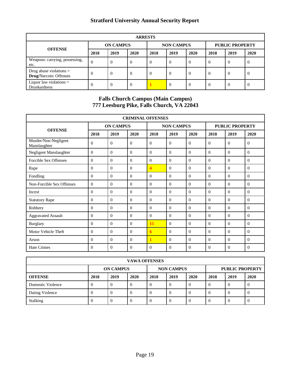| <b>ARRESTS</b>                                             |                  |      |          |                   |          |          |                        |          |      |  |
|------------------------------------------------------------|------------------|------|----------|-------------------|----------|----------|------------------------|----------|------|--|
| <b>OFFENSE</b>                                             | <b>ON CAMPUS</b> |      |          | <b>NON CAMPUS</b> |          |          | <b>PUBLIC PROPERTY</b> |          |      |  |
|                                                            | 2018             | 2019 | 2020     | 2018              | 2019     | 2020     | 2018                   | 2019     | 2020 |  |
| Weapons: carrying, possessing,<br>etc.                     | $\overline{0}$   | 0    | O        | $\Omega$          | $\Omega$ | $\Omega$ | $\theta$               | $\Omega$ | 0    |  |
| Drug abuse violations $=$<br><b>Drug/Narcotic Offenses</b> | $\Omega$         | 0    | $\theta$ | $\Omega$          | $\Omega$ | $\Omega$ | $\theta$               | $\theta$ | 0    |  |
| Liquor law violations $=$<br><b>Drunkardness</b>           | $\Omega$         | -0   | $\Omega$ |                   | $\Omega$ | $\Omega$ | $\theta$               | $\Omega$ | 0    |  |

# **Falls Church Campus (Main Campus) 777 Leesburg Pike, Falls Church, VA 22043**

| <b>CRIMINAL OFFENSES</b>             |          |                  |          |                         |                   |          |                |                        |                |  |  |
|--------------------------------------|----------|------------------|----------|-------------------------|-------------------|----------|----------------|------------------------|----------------|--|--|
| <b>OFFENSE</b>                       |          | <b>ON CAMPUS</b> |          |                         | <b>NON CAMPUS</b> |          |                | <b>PUBLIC PROPERTY</b> |                |  |  |
|                                      | 2018     | 2019             | 2020     | 2018                    | 2019              | 2020     | 2018           | 2019                   | 2020           |  |  |
| Murder/Non-Negligent<br>Manslaughter | $\Omega$ | $\theta$         | $\Omega$ | $\Omega$                | $\mathbf{0}$      | $\theta$ | $\Omega$       | $\Omega$               | $\overline{0}$ |  |  |
| Negligent Manslaughter               | $\Omega$ | $\Omega$         | $\Omega$ | $\Omega$                | $\Omega$          | $\Omega$ | $\Omega$       | $\Omega$               | $\Omega$       |  |  |
| Forcible Sex Offenses                | $\Omega$ | $\Omega$         | $\Omega$ | $\Omega$                | $\Omega$          | $\Omega$ | $\Omega$       | $\Omega$               | $\mathbf{0}$   |  |  |
| Rape                                 | $\Omega$ | $\Omega$         | $\Omega$ | $\overline{\mathbf{4}}$ | $\Omega$          | $\Omega$ | $\Omega$       | $\Omega$               | $\Omega$       |  |  |
| Fondling                             | $\Omega$ | $\theta$         | $\Omega$ | $\Omega$                | $\Omega$          | $\Omega$ | $\Omega$       | $\Omega$               | $\Omega$       |  |  |
| Non-Forcible Sex Offenses            | $\Omega$ | $\Omega$         | $\Omega$ | $\Omega$                | $\Omega$          | $\Omega$ | $\Omega$       | $\Omega$               | $\Omega$       |  |  |
| Incest                               | $\Omega$ | $\Omega$         | $\Omega$ | $\Omega$                | $\Omega$          | $\Omega$ | $\Omega$       | $\Omega$               | $\mathbf{0}$   |  |  |
| <b>Statutory Rape</b>                | $\Omega$ | $\Omega$         | $\Omega$ | $\Omega$                | $\Omega$          | $\Omega$ | $\Omega$       | $\Omega$               | $\Omega$       |  |  |
| Robbery                              | $\Omega$ | $\Omega$         | $\Omega$ | $\Omega$                | $\Omega$          | $\Omega$ | $\Omega$       | $\Omega$               | $\Omega$       |  |  |
| <b>Aggravated Assault</b>            | $\Omega$ | $\Omega$         | $\Omega$ | $\Omega$                | $\mathbf{0}$      | $\Omega$ | $\Omega$       | $\Omega$               | $\mathbf{0}$   |  |  |
| <b>Burglary</b>                      | $\Omega$ | $\Omega$         | $\Omega$ | 15                      | $\theta$          | $\Omega$ | $\Omega$       | $\Omega$               | $\Omega$       |  |  |
| Motor Vehicle Theft                  | $\Omega$ | $\Omega$         | $\Omega$ | 6                       | $\Omega$          | $\Omega$ | $\Omega$       | $\Omega$               | $\Omega$       |  |  |
| Arson                                | $\Omega$ | $\Omega$         | 0        | 1                       | $\Omega$          | $\Omega$ | $\Omega$       | $\Omega$               | $\Omega$       |  |  |
| <b>Hate Crimes</b>                   | $\Omega$ | $\overline{0}$   | $\theta$ | $\theta$                | $\overline{0}$    | $\theta$ | $\overline{0}$ | $\theta$               | $\overline{0}$ |  |  |

| <b>VAWA OFFENSES</b> |          |                                       |      |      |      |      |      |      |                        |  |
|----------------------|----------|---------------------------------------|------|------|------|------|------|------|------------------------|--|
|                      |          | <b>NON CAMPUS</b><br><b>ON CAMPUS</b> |      |      |      |      |      |      | <b>PUBLIC PROPERTY</b> |  |
| <b>OFFENSE</b>       | 2018     | 2019                                  | 2020 | 2018 | 2019 | 2020 | 2018 | 2019 | 2020                   |  |
| Domestic Violence    | 0        | $\Omega$                              |      |      |      | v    |      | 0    |                        |  |
| Dating Violence      | 0        | $\Omega$                              |      |      |      | v    |      | 0    |                        |  |
| Stalking             | $\Omega$ | $\Omega$                              |      | v    |      | v    |      | 0    |                        |  |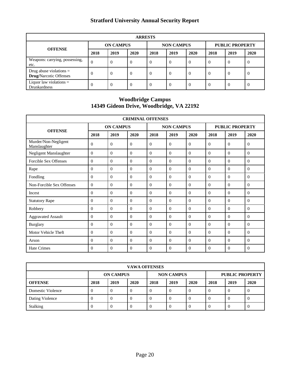| <b>ARRESTS</b>                                             |                |                  |          |                   |          |          |                        |          |      |  |
|------------------------------------------------------------|----------------|------------------|----------|-------------------|----------|----------|------------------------|----------|------|--|
| <b>OFFENSE</b>                                             |                | <b>ON CAMPUS</b> |          | <b>NON CAMPUS</b> |          |          | <b>PUBLIC PROPERTY</b> |          |      |  |
|                                                            | 2018           | 2019             | 2020     | 2018              | 2019     | 2020     | 2018                   | 2019     | 2020 |  |
| Weapons: carrying, possessing,<br>etc.                     | $\overline{0}$ | 0                | 0        | $\Omega$          | $\theta$ | $\Omega$ | $\theta$               | $\Omega$ | U    |  |
| Drug abuse violations $=$<br><b>Drug/Narcotic Offenses</b> | $\Omega$       | 0                | $\theta$ | $\Omega$          | $\Omega$ | $\Omega$ | $\theta$               | $\theta$ | 0    |  |
| Liquor law violations $=$<br><b>Drunkardness</b>           | $\Omega$       |                  | $\theta$ | $\Omega$          | $\Omega$ | $\Omega$ | $\theta$               | $\Omega$ | U    |  |

#### **Woodbridge Campus 14349 Gideon Drive, Woodbridge, VA 22192**

| <b>CRIMINAL OFFENSES</b>             |              |                  |          |                   |                |                |                        |                |              |  |
|--------------------------------------|--------------|------------------|----------|-------------------|----------------|----------------|------------------------|----------------|--------------|--|
|                                      |              | <b>ON CAMPUS</b> |          | <b>NON CAMPUS</b> |                |                | <b>PUBLIC PROPERTY</b> |                |              |  |
| <b>OFFENSE</b>                       | 2018         | 2019             | 2020     | 2018              | 2019           | 2020           | 2018                   | 2019           | 2020         |  |
| Murder/Non-Negligent<br>Manslaughter | $\Omega$     | $\Omega$         | $\Omega$ | $\Omega$          | $\Omega$       | $\Omega$       | $\Omega$               | $\Omega$       | $\Omega$     |  |
| Negligent Manslaughter               | $\Omega$     | $\theta$         | $\Omega$ | $\Omega$          | $\Omega$       | $\Omega$       | $\Omega$               | $\Omega$       | $\Omega$     |  |
| Forcible Sex Offenses                | $\mathbf{0}$ | $\Omega$         | $\Omega$ | $\Omega$          | $\Omega$       | $\Omega$       | $\Omega$               | $\Omega$       | $\theta$     |  |
| Rape                                 | $\mathbf{0}$ | $\Omega$         | $\Omega$ | $\theta$          | $\Omega$       | $\Omega$       | $\Omega$               | $\Omega$       | $\theta$     |  |
| Fondling                             | $\mathbf{0}$ | $\theta$         | $\Omega$ | $\Omega$          | $\Omega$       | $\Omega$       | $\Omega$               | $\Omega$       | $\theta$     |  |
| Non-Forcible Sex Offenses            | $\Omega$     | $\Omega$         | $\Omega$ | $\Omega$          | $\Omega$       | $\Omega$       | $\Omega$               | $\Omega$       | $\Omega$     |  |
| Incest                               | $\mathbf{0}$ | $\Omega$         | $\Omega$ | $\Omega$          | $\Omega$       | $\Omega$       | $\Omega$               | $\Omega$       | $\Omega$     |  |
| <b>Statutory Rape</b>                | $\Omega$     | $\theta$         | $\Omega$ | $\Omega$          | $\Omega$       | $\Omega$       | $\Omega$               | $\Omega$       | $\Omega$     |  |
| Robbery                              | $\theta$     | $\theta$         | $\Omega$ | $\Omega$          | $\Omega$       | $\Omega$       | $\Omega$               | $\Omega$       | $\theta$     |  |
| <b>Aggravated Assault</b>            | $\mathbf{0}$ | $\Omega$         | $\Omega$ | $\theta$          | $\Omega$       | $\Omega$       | $\Omega$               | $\Omega$       | $\theta$     |  |
| <b>Burglary</b>                      | $\Omega$     | $\Omega$         | 0        | $\Omega$          | $\Omega$       | $\Omega$       | $\Omega$               | $\Omega$       | $\Omega$     |  |
| Motor Vehicle Theft                  | $\theta$     | $\Omega$         | $\Omega$ | $\Omega$          | $\Omega$       | $\Omega$       | $\Omega$               | $\Omega$       | $\Omega$     |  |
| Arson                                | $\Omega$     | $\Omega$         | $\Omega$ | $\Omega$          | $\Omega$       | $\Omega$       | $\Omega$               | $\Omega$       | $\Omega$     |  |
| <b>Hate Crimes</b>                   | 0            | $\overline{0}$   | $\Omega$ | $\Omega$          | $\overline{0}$ | $\overline{0}$ | $\theta$               | $\overline{0}$ | $\mathbf{0}$ |  |

| <b>VAWA OFFENSES</b> |                  |      |      |                   |          |      |                        |          |      |  |
|----------------------|------------------|------|------|-------------------|----------|------|------------------------|----------|------|--|
|                      | <b>ON CAMPUS</b> |      |      | <b>NON CAMPUS</b> |          |      | <b>PUBLIC PROPERTY</b> |          |      |  |
| <b>OFFENSE</b>       | 2018             | 2019 | 2020 | 2018              | 2019     | 2020 | 2018                   | 2019     | 2020 |  |
| Domestic Violence    | 0                | U    |      | 0                 | $\theta$ |      | 0                      | $\Omega$ | 0    |  |
| Dating Violence      |                  |      |      | 0                 | $\theta$ |      | O                      | $\Omega$ | 0    |  |
| Stalking             |                  | -0   |      | 0                 | $\theta$ |      | O                      | $\Omega$ | 0    |  |